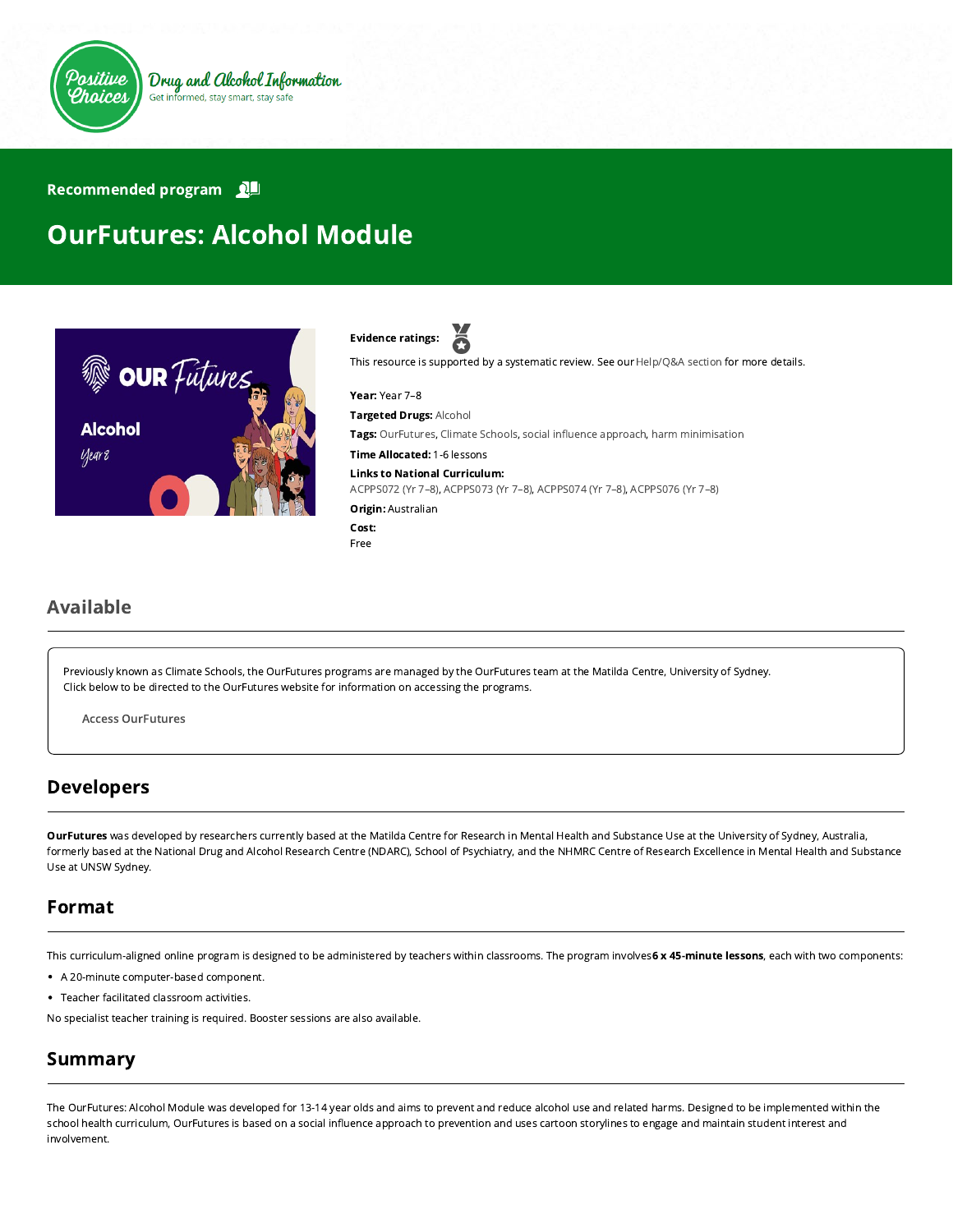

#### Recommended program

# OurFutures: Alcohol Module



ă Evidence ratings:

This resource is supported by a systematic review. See our [Help/Q&A section](https://positivechoices.org.au/help/questions-and-answers/) for more details.

Year: Year 7–8 Targeted Drugs: Alcohol Tags: OurFutures, Climate Schools, social influence approach, harm minimisation Time Allocated: 1-6 lessons Links to National Curriculum: [ACPPS072 \(Yr 7–8\),](http://www.australiancurriculum.edu.au/Curriculum/ContentDescription/ACPPS072) [ACPPS073 \(Yr 7–8\)](http://www.australiancurriculum.edu.au/Curriculum/ContentDescription/ACPPS073), [ACPPS074 \(Yr 7–8\)](http://www.australiancurriculum.edu.au/Curriculum/ContentDescription/ACPPS074), [ACPPS076 \(Yr 7–8\)](http://www.australiancurriculum.edu.au/Curriculum/ContentDescription/ACPPS076) Origin: Australian Cost:

## Available

Previously known as Climate Schools, the OurFutures programs are managed by the OurFutures team at the Matilda Centre, University of Sydney. Click below to be directed to the OurFutures website for information on accessing the programs.

Free

Access [OurFutures](https://ourfutures.education/)

#### Developers

OurFutures was developed by researchers currently based at the Matilda Centre for Research in Mental Health and Substance Use at the University of Sydney, Australia, formerly based at the National Drug and Alcohol Research Centre (NDARC), School of Psychiatry, and the NHMRC Centre of Research Excellence in Mental Health and Substance Use at UNSW Sydney.

#### Format

This curriculum-aligned online program is designed to be administered by teachers within classrooms. The program involves 6 x 45-minute lessons, each with two components:

- A 20-minute computer-based component.
- Teacher facilitated classroom activities.

No specialist teacher training is required. Booster sessions are also available.

#### Summary

The OurFutures: Alcohol Module was developed for 13-14 year olds and aims to prevent and reduce alcohol use and related harms. Designed to be implemented within the school health curriculum, OurFutures is based on a social influence approach to prevention and uses cartoon storylines to engage and maintain student interest and involvement.